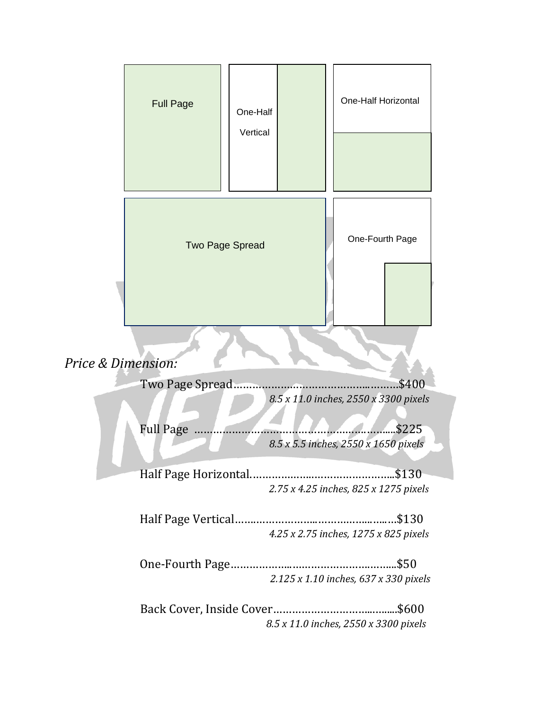|                                                                   | <b>Full Page</b>                                                   | One-Half<br>Vertical |  | One-Half Horizontal |  |  |
|-------------------------------------------------------------------|--------------------------------------------------------------------|----------------------|--|---------------------|--|--|
|                                                                   | <b>Two Page Spread</b>                                             |                      |  | One-Fourth Page     |  |  |
| Price & Dimension:                                                |                                                                    |                      |  |                     |  |  |
| \$400<br>Two Page Spread<br>8.5 x 11.0 inches, 2550 x 3300 pixels |                                                                    |                      |  |                     |  |  |
|                                                                   | <b>Full Page</b><br>\$225.<br>8.5 x 5.5 inches, 2550 x 1650 pixels |                      |  |                     |  |  |
|                                                                   | 2.75 x 4.25 inches, 825 x 1275 pixels                              |                      |  |                     |  |  |
|                                                                   | 4.25 x 2.75 inches, 1275 x 825 pixels                              |                      |  |                     |  |  |
|                                                                   | 2.125 x 1.10 inches, 637 x 330 pixels                              |                      |  |                     |  |  |
|                                                                   | 8.5 x 11.0 inches, 2550 x 3300 pixels                              |                      |  |                     |  |  |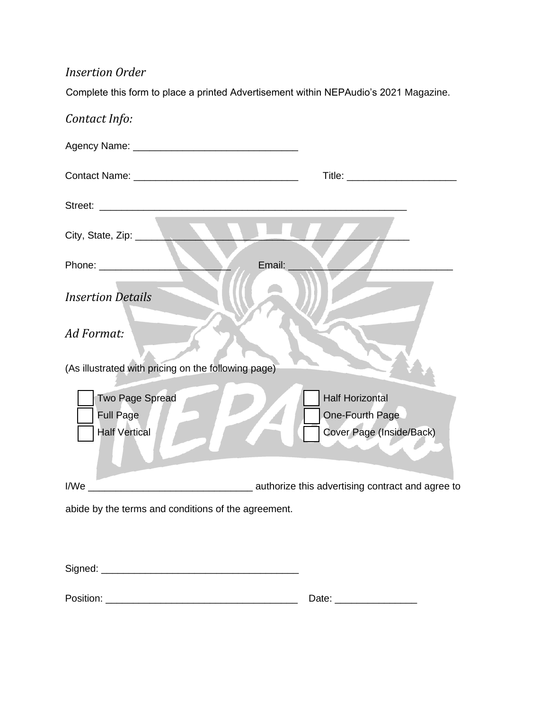## *Insertion Order*

Complete this form to place a printed Advertisement within NEPAudio's 2021 Magazine.

| Contact Info:                                                      |                                                                       |
|--------------------------------------------------------------------|-----------------------------------------------------------------------|
|                                                                    |                                                                       |
|                                                                    |                                                                       |
|                                                                    |                                                                       |
| City, State, Zip:                                                  |                                                                       |
|                                                                    | Email:                                                                |
| <b>Insertion Details</b>                                           |                                                                       |
| Ad Format:                                                         |                                                                       |
| (As illustrated with pricing on the following page)                |                                                                       |
| <b>Two Page Spread</b><br><b>Full Page</b><br><b>Half Vertical</b> | <b>Half Horizontal</b><br>One-Fourth Page<br>Cover Page (Inside/Back) |
|                                                                    |                                                                       |
| abide by the terms and conditions of the agreement.                |                                                                       |
|                                                                    |                                                                       |
| Signed:                                                            |                                                                       |

Position: \_\_\_\_\_\_\_\_\_\_\_\_\_\_\_\_\_\_\_\_\_\_\_\_\_\_\_\_\_\_\_\_\_\_\_ Date: \_\_\_\_\_\_\_\_\_\_\_\_\_\_\_